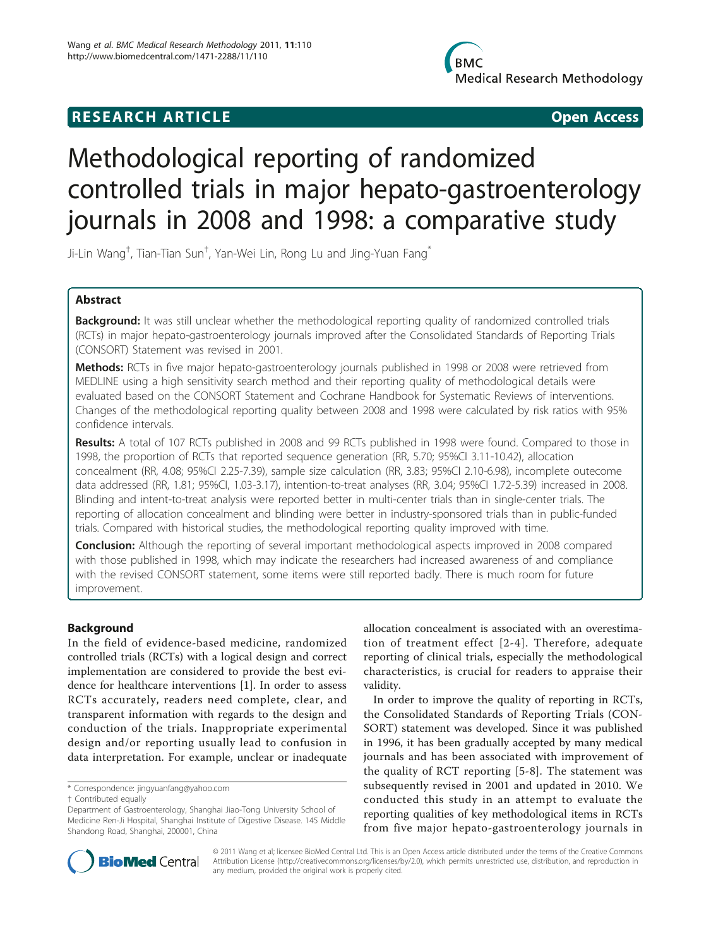# Methodological reporting of randomized controlled trials in major hepato-gastroenterology journals in 2008 and 1998: a comparative study

Ji-Lin Wang† , Tian-Tian Sun† , Yan-Wei Lin, Rong Lu and Jing-Yuan Fang\*

# Abstract

Background: It was still unclear whether the methodological reporting quality of randomized controlled trials (RCTs) in major hepato-gastroenterology journals improved after the Consolidated Standards of Reporting Trials (CONSORT) Statement was revised in 2001.

Methods: RCTs in five major hepato-gastroenterology journals published in 1998 or 2008 were retrieved from MEDLINE using a high sensitivity search method and their reporting quality of methodological details were evaluated based on the CONSORT Statement and Cochrane Handbook for Systematic Reviews of interventions. Changes of the methodological reporting quality between 2008 and 1998 were calculated by risk ratios with 95% confidence intervals.

Results: A total of 107 RCTs published in 2008 and 99 RCTs published in 1998 were found. Compared to those in 1998, the proportion of RCTs that reported sequence generation (RR, 5.70; 95%CI 3.11-10.42), allocation concealment (RR, 4.08; 95%CI 2.25-7.39), sample size calculation (RR, 3.83; 95%CI 2.10-6.98), incomplete outecome data addressed (RR, 1.81; 95%CI, 1.03-3.17), intention-to-treat analyses (RR, 3.04; 95%CI 1.72-5.39) increased in 2008. Blinding and intent-to-treat analysis were reported better in multi-center trials than in single-center trials. The reporting of allocation concealment and blinding were better in industry-sponsored trials than in public-funded trials. Compared with historical studies, the methodological reporting quality improved with time.

**Conclusion:** Although the reporting of several important methodological aspects improved in 2008 compared with those published in 1998, which may indicate the researchers had increased awareness of and compliance with the revised CONSORT statement, some items were still reported badly. There is much room for future improvement.

# Background

In the field of evidence-based medicine, randomized controlled trials (RCTs) with a logical design and correct implementation are considered to provide the best evidence for healthcare interventions [\[1](#page-6-0)]. In order to assess RCTs accurately, readers need complete, clear, and transparent information with regards to the design and conduction of the trials. Inappropriate experimental design and/or reporting usually lead to confusion in data interpretation. For example, unclear or inadequate

\* Correspondence: [jingyuanfang@yahoo.com](mailto:jingyuanfang@yahoo.com)

allocation concealment is associated with an overestimation of treatment effect [[2](#page-6-0)-[4\]](#page-6-0). Therefore, adequate reporting of clinical trials, especially the methodological characteristics, is crucial for readers to appraise their validity.

In order to improve the quality of reporting in RCTs, the Consolidated Standards of Reporting Trials (CON-SORT) statement was developed. Since it was published in 1996, it has been gradually accepted by many medical journals and has been associated with improvement of the quality of RCT reporting [[5](#page-6-0)-[8\]](#page-6-0). The statement was subsequently revised in 2001 and updated in 2010. We conducted this study in an attempt to evaluate the reporting qualities of key methodological items in RCTs from five major hepato-gastroenterology journals in



© 2011 Wang et al; licensee BioMed Central Ltd. This is an Open Access article distributed under the terms of the Creative Commons Attribution License [\(http://creativecommons.org/licenses/by/2.0](http://creativecommons.org/licenses/by/2.0)), which permits unrestricted use, distribution, and reproduction in any medium, provided the original work is properly cited.

<sup>†</sup> Contributed equally

Department of Gastroenterology, Shanghai Jiao-Tong University School of Medicine Ren-Ji Hospital, Shanghai Institute of Digestive Disease. 145 Middle Shandong Road, Shanghai, 200001, China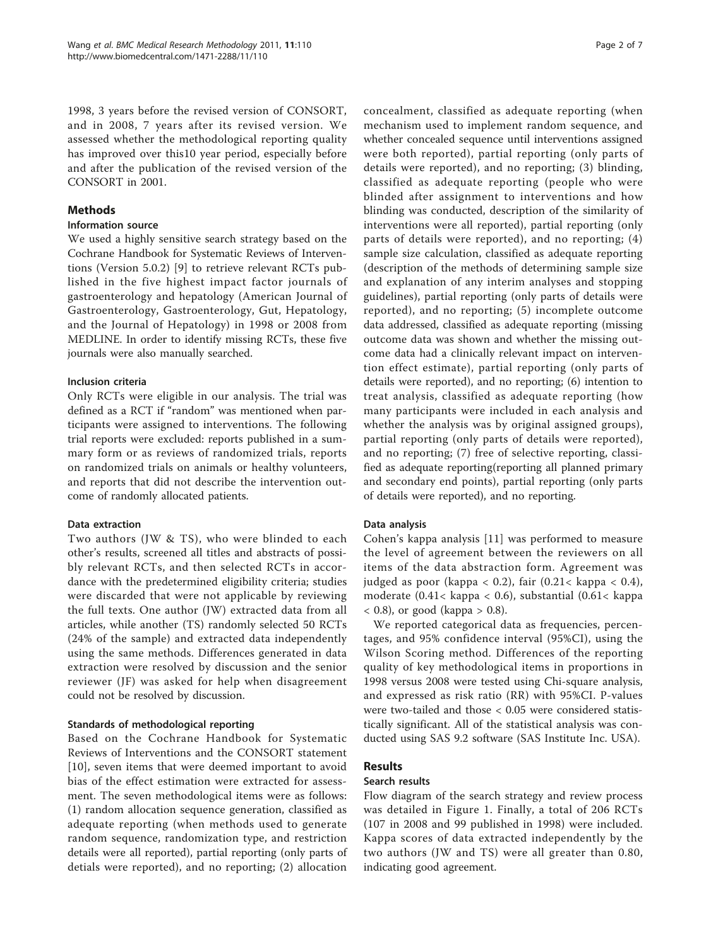1998, 3 years before the revised version of CONSORT, and in 2008, 7 years after its revised version. We assessed whether the methodological reporting quality has improved over this10 year period, especially before and after the publication of the revised version of the CONSORT in 2001.

# Methods

# Information source

We used a highly sensitive search strategy based on the Cochrane Handbook for Systematic Reviews of Interventions (Version 5.0.2) [[9](#page-6-0)] to retrieve relevant RCTs published in the five highest impact factor journals of gastroenterology and hepatology (American Journal of Gastroenterology, Gastroenterology, Gut, Hepatology, and the Journal of Hepatology) in 1998 or 2008 from MEDLINE. In order to identify missing RCTs, these five journals were also manually searched.

# Inclusion criteria

Only RCTs were eligible in our analysis. The trial was defined as a RCT if "random" was mentioned when participants were assigned to interventions. The following trial reports were excluded: reports published in a summary form or as reviews of randomized trials, reports on randomized trials on animals or healthy volunteers, and reports that did not describe the intervention outcome of randomly allocated patients.

#### Data extraction

Two authors (JW & TS), who were blinded to each other's results, screened all titles and abstracts of possibly relevant RCTs, and then selected RCTs in accordance with the predetermined eligibility criteria; studies were discarded that were not applicable by reviewing the full texts. One author (JW) extracted data from all articles, while another (TS) randomly selected 50 RCTs (24% of the sample) and extracted data independently using the same methods. Differences generated in data extraction were resolved by discussion and the senior reviewer (JF) was asked for help when disagreement could not be resolved by discussion.

#### Standards of methodological reporting

Based on the Cochrane Handbook for Systematic Reviews of Interventions and the CONSORT statement [[10](#page-6-0)], seven items that were deemed important to avoid bias of the effect estimation were extracted for assessment. The seven methodological items were as follows: (1) random allocation sequence generation, classified as adequate reporting (when methods used to generate random sequence, randomization type, and restriction details were all reported), partial reporting (only parts of detials were reported), and no reporting; (2) allocation concealment, classified as adequate reporting (when mechanism used to implement random sequence, and whether concealed sequence until interventions assigned were both reported), partial reporting (only parts of details were reported), and no reporting; (3) blinding, classified as adequate reporting (people who were blinded after assignment to interventions and how blinding was conducted, description of the similarity of interventions were all reported), partial reporting (only parts of details were reported), and no reporting; (4) sample size calculation, classified as adequate reporting (description of the methods of determining sample size and explanation of any interim analyses and stopping guidelines), partial reporting (only parts of details were reported), and no reporting; (5) incomplete outcome data addressed, classified as adequate reporting (missing outcome data was shown and whether the missing outcome data had a clinically relevant impact on intervention effect estimate), partial reporting (only parts of details were reported), and no reporting; (6) intention to treat analysis, classified as adequate reporting (how many participants were included in each analysis and whether the analysis was by original assigned groups), partial reporting (only parts of details were reported), and no reporting; (7) free of selective reporting, classified as adequate reporting(reporting all planned primary and secondary end points), partial reporting (only parts of details were reported), and no reporting.

#### Data analysis

Cohen's kappa analysis [[11\]](#page-6-0) was performed to measure the level of agreement between the reviewers on all items of the data abstraction form. Agreement was judged as poor (kappa < 0.2), fair  $(0.21 < kappa < 0.4)$ , moderate (0.41< kappa < 0.6), substantial (0.61< kappa  $(0.8)$ , or good (kappa  $(0.8)$ .

We reported categorical data as frequencies, percentages, and 95% confidence interval (95%CI), using the Wilson Scoring method. Differences of the reporting quality of key methodological items in proportions in 1998 versus 2008 were tested using Chi-square analysis, and expressed as risk ratio (RR) with 95%CI. P-values were two-tailed and those < 0.05 were considered statistically significant. All of the statistical analysis was conducted using SAS 9.2 software (SAS Institute Inc. USA).

# Results

#### Search results

Flow diagram of the search strategy and review process was detailed in Figure [1.](#page-2-0) Finally, a total of 206 RCTs (107 in 2008 and 99 published in 1998) were included. Kappa scores of data extracted independently by the two authors (JW and TS) were all greater than 0.80, indicating good agreement.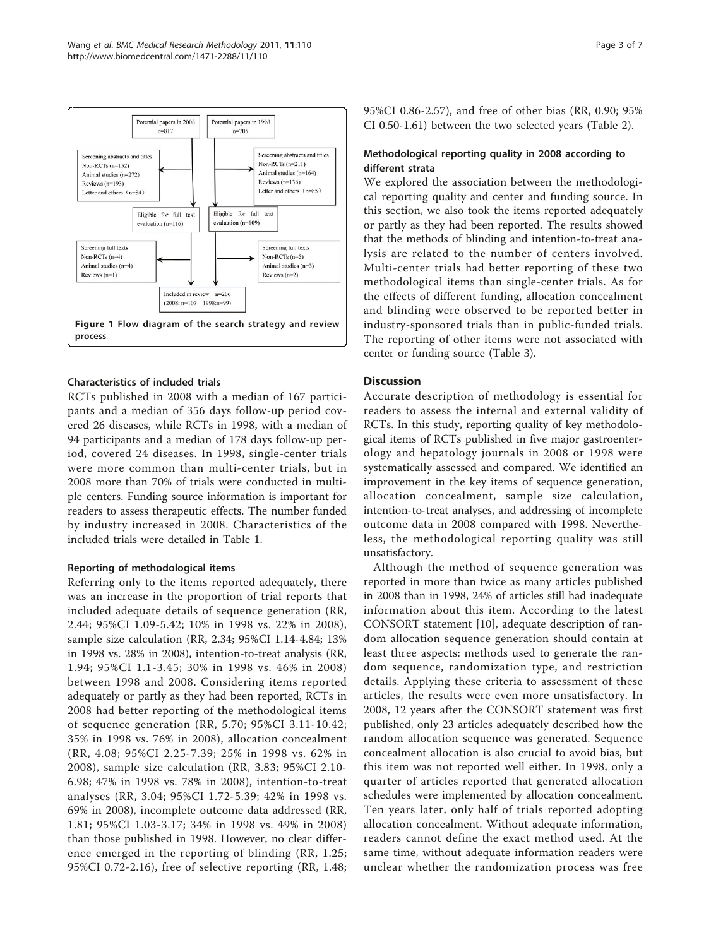<span id="page-2-0"></span>

#### Characteristics of included trials

RCTs published in 2008 with a median of 167 participants and a median of 356 days follow-up period covered 26 diseases, while RCTs in 1998, with a median of 94 participants and a median of 178 days follow-up period, covered 24 diseases. In 1998, single-center trials were more common than multi-center trials, but in 2008 more than 70% of trials were conducted in multiple centers. Funding source information is important for readers to assess therapeutic effects. The number funded by industry increased in 2008. Characteristics of the included trials were detailed in Table [1.](#page-3-0)

#### Reporting of methodological items

Referring only to the items reported adequately, there was an increase in the proportion of trial reports that included adequate details of sequence generation (RR, 2.44; 95%CI 1.09-5.42; 10% in 1998 vs. 22% in 2008), sample size calculation (RR, 2.34; 95%CI 1.14-4.84; 13% in 1998 vs. 28% in 2008), intention-to-treat analysis (RR, 1.94; 95%CI 1.1-3.45; 30% in 1998 vs. 46% in 2008) between 1998 and 2008. Considering items reported adequately or partly as they had been reported, RCTs in 2008 had better reporting of the methodological items of sequence generation (RR, 5.70; 95%CI 3.11-10.42; 35% in 1998 vs. 76% in 2008), allocation concealment (RR, 4.08; 95%CI 2.25-7.39; 25% in 1998 vs. 62% in 2008), sample size calculation (RR, 3.83; 95%CI 2.10- 6.98; 47% in 1998 vs. 78% in 2008), intention-to-treat analyses (RR, 3.04; 95%CI 1.72-5.39; 42% in 1998 vs. 69% in 2008), incomplete outcome data addressed (RR, 1.81; 95%CI 1.03-3.17; 34% in 1998 vs. 49% in 2008) than those published in 1998. However, no clear difference emerged in the reporting of blinding (RR, 1.25; 95%CI 0.72-2.16), free of selective reporting (RR, 1.48; 95%CI 0.86-2.57), and free of other bias (RR, 0.90; 95% CI 0.50-1.61) between the two selected years (Table [2\)](#page-4-0).

#### Methodological reporting quality in 2008 according to different strata

We explored the association between the methodological reporting quality and center and funding source. In this section, we also took the items reported adequately or partly as they had been reported. The results showed that the methods of blinding and intention-to-treat analysis are related to the number of centers involved. Multi-center trials had better reporting of these two methodological items than single-center trials. As for the effects of different funding, allocation concealment and blinding were observed to be reported better in industry-sponsored trials than in public-funded trials. The reporting of other items were not associated with center or funding source (Table [3\)](#page-5-0).

#### **Discussion**

Accurate description of methodology is essential for readers to assess the internal and external validity of RCTs. In this study, reporting quality of key methodological items of RCTs published in five major gastroenterology and hepatology journals in 2008 or 1998 were systematically assessed and compared. We identified an improvement in the key items of sequence generation, allocation concealment, sample size calculation, intention-to-treat analyses, and addressing of incomplete outcome data in 2008 compared with 1998. Nevertheless, the methodological reporting quality was still unsatisfactory.

Although the method of sequence generation was reported in more than twice as many articles published in 2008 than in 1998, 24% of articles still had inadequate information about this item. According to the latest CONSORT statement [\[10\]](#page-6-0), adequate description of random allocation sequence generation should contain at least three aspects: methods used to generate the random sequence, randomization type, and restriction details. Applying these criteria to assessment of these articles, the results were even more unsatisfactory. In 2008, 12 years after the CONSORT statement was first published, only 23 articles adequately described how the random allocation sequence was generated. Sequence concealment allocation is also crucial to avoid bias, but this item was not reported well either. In 1998, only a quarter of articles reported that generated allocation schedules were implemented by allocation concealment. Ten years later, only half of trials reported adopting allocation concealment. Without adequate information, readers cannot define the exact method used. At the same time, without adequate information readers were unclear whether the randomization process was free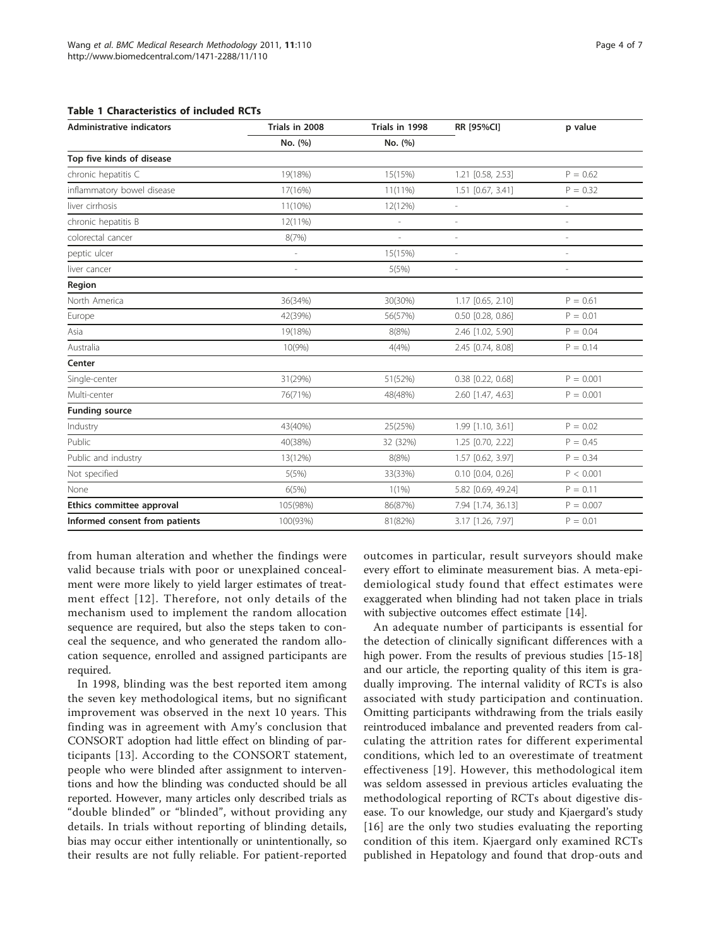<span id="page-3-0"></span>

| <b>Administrative indicators</b> | Trials in 2008 | Trials in 1998 | RR [95%CI]               | p value                  |  |
|----------------------------------|----------------|----------------|--------------------------|--------------------------|--|
|                                  | No. (%)        | No. (%)        |                          |                          |  |
| Top five kinds of disease        |                |                |                          |                          |  |
| chronic hepatitis C              | 19(18%)        | 15(15%)        | 1.21 [0.58, 2.53]        | $P = 0.62$               |  |
| inflammatory bowel disease       | 17(16%)        | $11(11\%)$     | 1.51 [0.67, 3.41]        | $P = 0.32$               |  |
| liver cirrhosis                  | 11(10%)        | 12(12%)        | L,                       | $\sim$                   |  |
| chronic hepatitis B              | $12(11\%)$     | $\overline{a}$ | ÷,                       |                          |  |
| colorectal cancer                | 8(7%)          | $\overline{a}$ | $\overline{a}$           | $\overline{\phantom{a}}$ |  |
| peptic ulcer                     | L,             | 15(15%)        | $\overline{\phantom{a}}$ | ÷,                       |  |
| liver cancer                     |                | 5(5%)          | i,                       |                          |  |
| Region                           |                |                |                          |                          |  |
| North America                    | 36(34%)        | 30(30%)        | 1.17 [0.65, 2.10]        | $P = 0.61$               |  |
| Europe                           | 42(39%)        | 56(57%)        | 0.50 [0.28, 0.86]        | $P = 0.01$               |  |
| Asia                             | 19(18%)        | 8(8%)          | 2.46 [1.02, 5.90]        | $P = 0.04$               |  |
| Australia                        | 10(9%          | 4(4%)          | 2.45 [0.74, 8.08]        | $P = 0.14$               |  |
| Center                           |                |                |                          |                          |  |
| Single-center                    | 31(29%)        | 51(52%)        | 0.38 [0.22, 0.68]        | $P = 0.001$              |  |
| Multi-center                     | 76(71%)        | 48(48%)        | 2.60 [1.47, 4.63]        | $P = 0.001$              |  |
| <b>Funding source</b>            |                |                |                          |                          |  |
| Industry                         | 43(40%)        | 25(25%)        | 1.99 [1.10, 3.61]        | $P = 0.02$               |  |
| Public                           | 40(38%)        | 32 (32%)       | 1.25 [0.70, 2.22]        | $P = 0.45$               |  |
| Public and industry              | 13(12%)        | 8(8%)          | 1.57 [0.62, 3.97]        | $P = 0.34$               |  |
| Not specified                    | 5(5%)          | 33(33%)        | $0.10$ $[0.04, 0.26]$    | P < 0.001                |  |
| None                             | 6(5%)          | $1(1\%)$       | 5.82 [0.69, 49.24]       | $P = 0.11$               |  |
| Ethics committee approval        | 105(98%)       | 86(87%)        | 7.94 [1.74, 36.13]       | $P = 0.007$              |  |
| Informed consent from patients   | 100(93%)       | 81(82%)        | 3.17 [1.26, 7.97]        | $P = 0.01$               |  |

from human alteration and whether the findings were valid because trials with poor or unexplained concealment were more likely to yield larger estimates of treatment effect [[12\]](#page-6-0). Therefore, not only details of the mechanism used to implement the random allocation sequence are required, but also the steps taken to conceal the sequence, and who generated the random allocation sequence, enrolled and assigned participants are required.

In 1998, blinding was the best reported item among the seven key methodological items, but no significant improvement was observed in the next 10 years. This finding was in agreement with Amy's conclusion that CONSORT adoption had little effect on blinding of participants [[13\]](#page-6-0). According to the CONSORT statement, people who were blinded after assignment to interventions and how the blinding was conducted should be all reported. However, many articles only described trials as "double blinded" or "blinded", without providing any details. In trials without reporting of blinding details, bias may occur either intentionally or unintentionally, so their results are not fully reliable. For patient-reported outcomes in particular, result surveyors should make every effort to eliminate measurement bias. A meta-epidemiological study found that effect estimates were exaggerated when blinding had not taken place in trials with subjective outcomes effect estimate [[14\]](#page-6-0).

An adequate number of participants is essential for the detection of clinically significant differences with a high power. From the results of previous studies [\[15-18](#page-6-0)] and our article, the reporting quality of this item is gradually improving. The internal validity of RCTs is also associated with study participation and continuation. Omitting participants withdrawing from the trials easily reintroduced imbalance and prevented readers from calculating the attrition rates for different experimental conditions, which led to an overestimate of treatment effectiveness [[19](#page-6-0)]. However, this methodological item was seldom assessed in previous articles evaluating the methodological reporting of RCTs about digestive disease. To our knowledge, our study and Kjaergard's study [[16](#page-6-0)] are the only two studies evaluating the reporting condition of this item. Kjaergard only examined RCTs published in Hepatology and found that drop-outs and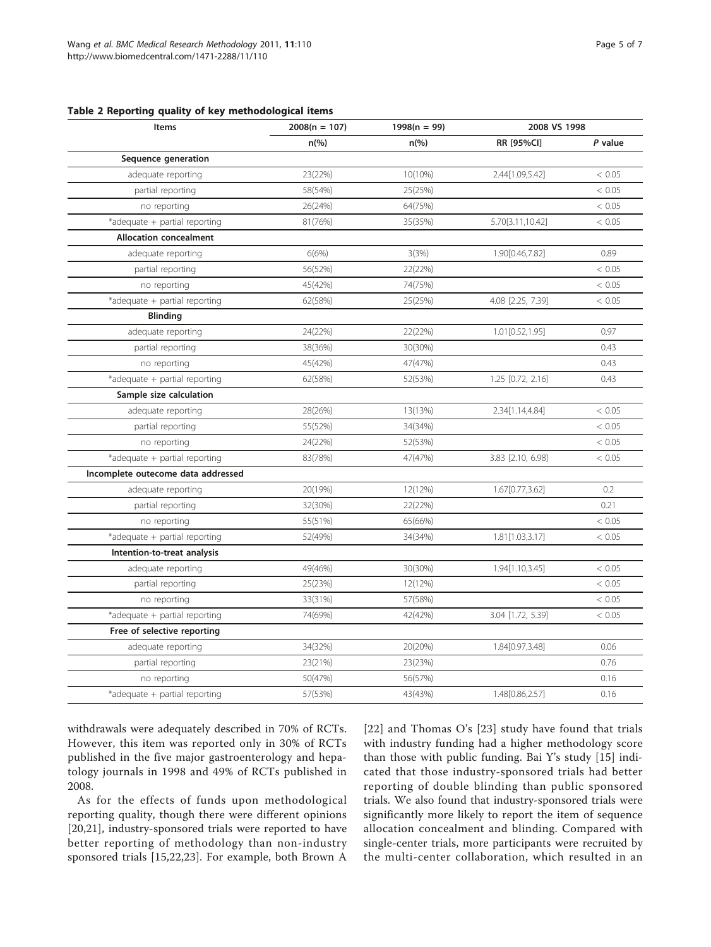<span id="page-4-0"></span>

| Table 2 Reporting quality of key methodological items |  |  |  |  |
|-------------------------------------------------------|--|--|--|--|
|-------------------------------------------------------|--|--|--|--|

| Items                              | $2008(n = 107)$ | $1998(n = 99)$ | 2008 VS 1998      |         |
|------------------------------------|-----------------|----------------|-------------------|---------|
|                                    | $n\frac{6}{6}$  | $n\frac{9}{6}$ | RR [95%CI]        | P value |
| Sequence generation                |                 |                |                   |         |
| adequate reporting                 | 23(22%)         | 10(10%)        | 2.44[1.09,5.42]   | < 0.05  |
| partial reporting                  | 58(54%)         | 25(25%)        |                   | < 0.05  |
| no reporting                       | 26(24%)         | 64(75%)        |                   | < 0.05  |
| *adequate + partial reporting      | 81(76%)         | 35(35%)        | 5.70[3.11,10.42]  | < 0.05  |
| <b>Allocation concealment</b>      |                 |                |                   |         |
| adequate reporting                 | 6(6%)           | 3(3%)          | 1.90[0.46,7.82]   | 0.89    |
| partial reporting                  | 56(52%)         | 22(22%)        |                   | < 0.05  |
| no reporting                       | 45(42%)         | 74(75%)        |                   | < 0.05  |
| *adequate + partial reporting      | 62(58%)         | 25(25%)        | 4.08 [2.25, 7.39] | < 0.05  |
| <b>Blinding</b>                    |                 |                |                   |         |
| adequate reporting                 | 24(22%)         | 22(22%)        | 1.01[0.52, 1.95]  | 0.97    |
| partial reporting                  | 38(36%)         | 30(30%)        |                   | 0.43    |
| no reporting                       | 45(42%)         | 47(47%)        |                   | 0.43    |
| *adequate + partial reporting      | 62(58%)         | 52(53%)        | 1.25 [0.72, 2.16] | 0.43    |
| Sample size calculation            |                 |                |                   |         |
| adequate reporting                 | 28(26%)         | 13(13%)        | 2.34[1.14,4.84]   | < 0.05  |
| partial reporting                  | 55(52%)         | 34(34%)        |                   | < 0.05  |
| no reporting                       | 24(22%)         | 52(53%)        |                   | < 0.05  |
| *adequate + partial reporting      | 83(78%)         | 47(47%)        | 3.83 [2.10, 6.98] | < 0.05  |
| Incomplete outecome data addressed |                 |                |                   |         |
| adequate reporting                 | 20(19%)         | 12(12%)        | 1.67[0.77,3.62]   | 0.2     |
| partial reporting                  | 32(30%)         | 22(22%)        |                   | 0.21    |
| no reporting                       | 55(51%)         | 65(66%)        |                   | < 0.05  |
| *adequate + partial reporting      | 52(49%)         | 34(34%)        | 1.81[1.03,3.17]   | < 0.05  |
| Intention-to-treat analysis        |                 |                |                   |         |
| adequate reporting                 | 49(46%)         | 30(30%)        | 1.94[1.10,3.45]   | < 0.05  |
| partial reporting                  | 25(23%)         | 12(12%)        |                   | < 0.05  |
| no reporting                       | 33(31%)         | 57(58%)        |                   | < 0.05  |
| *adequate + partial reporting      | 74(69%)         | 42(42%)        | 3.04 [1.72, 5.39] | < 0.05  |
| Free of selective reporting        |                 |                |                   |         |
| adequate reporting                 | 34(32%)         | 20(20%)        | 1.84[0.97,3.48]   | 0.06    |
| partial reporting                  | 23(21%)         | 23(23%)        |                   | 0.76    |
| no reporting                       | 50(47%)         | 56(57%)        |                   | 0.16    |
| *adequate + partial reporting      | 57(53%)         | 43(43%)        | 1.48[0.86,2.57]   | 0.16    |

withdrawals were adequately described in 70% of RCTs. However, this item was reported only in 30% of RCTs published in the five major gastroenterology and hepatology journals in 1998 and 49% of RCTs published in 2008.

As for the effects of funds upon methodological reporting quality, though there were different opinions [[20,21\]](#page-6-0), industry-sponsored trials were reported to have better reporting of methodology than non-industry sponsored trials [[15,22,23](#page-6-0)]. For example, both Brown A

[[22](#page-6-0)] and Thomas O's [[23\]](#page-6-0) study have found that trials with industry funding had a higher methodology score than those with public funding. Bai Y's study [\[15](#page-6-0)] indicated that those industry-sponsored trials had better reporting of double blinding than public sponsored trials. We also found that industry-sponsored trials were significantly more likely to report the item of sequence allocation concealment and blinding. Compared with single-center trials, more participants were recruited by the multi-center collaboration, which resulted in an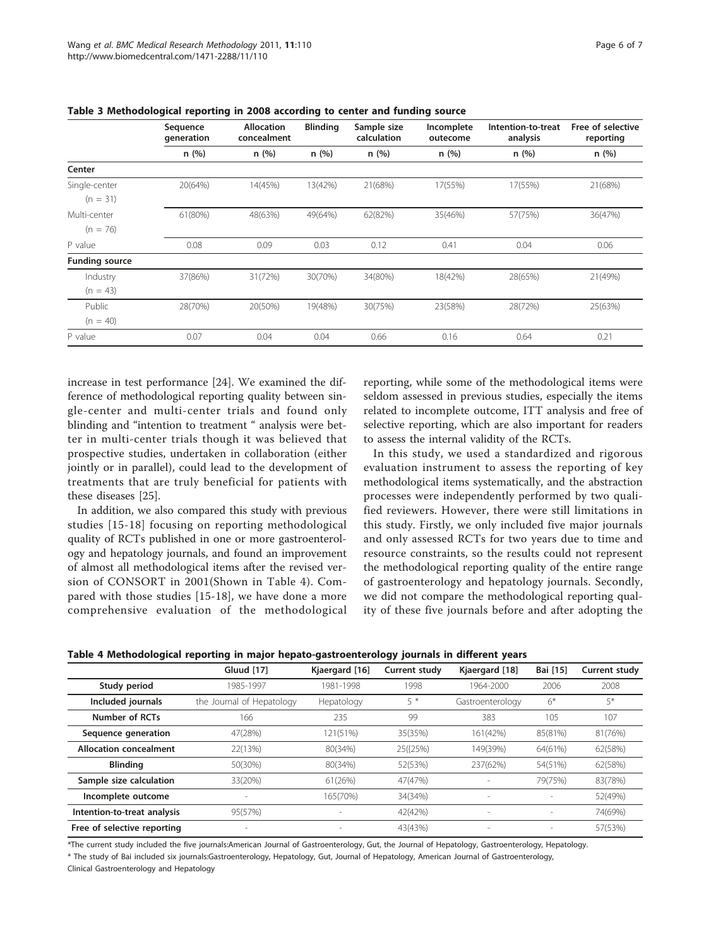|                       | Sequence<br>generation | <b>Allocation</b><br>concealment | <b>Blinding</b> | Sample size<br>calculation | Incomplete<br>outecome | Intention-to-treat<br>analysis | Free of selective<br>reporting |
|-----------------------|------------------------|----------------------------------|-----------------|----------------------------|------------------------|--------------------------------|--------------------------------|
|                       | n(%)                   | n(%)                             | n(%)            | n(%)                       | n(%)                   | n(%)                           | n(%)                           |
| Center                |                        |                                  |                 |                            |                        |                                |                                |
| Single-center         | 20(64%)                | 14(45%)                          | 13(42%)         | 21(68%)                    | 17(55%)                | 17(55%)                        | 21(68%)                        |
| $(n = 31)$            |                        |                                  |                 |                            |                        |                                |                                |
| Multi-center          | 61(80%)                | 48(63%)                          | 49(64%)         | 62(82%)                    | 35(46%)                | 57(75%)                        | 36(47%)                        |
| $(n = 76)$            |                        |                                  |                 |                            |                        |                                |                                |
| P value               | 0.08                   | 0.09                             | 0.03            | 0.12                       | 0.41                   | 0.04                           | 0.06                           |
| <b>Funding source</b> |                        |                                  |                 |                            |                        |                                |                                |
| Industry              | 37(86%)                | 31(72%)                          | 30(70%)         | 34(80%)                    | 18(42%)                | 28(65%)                        | 21(49%)                        |
| $(n = 43)$            |                        |                                  |                 |                            |                        |                                |                                |
| Public                | 28(70%)                | 20(50%)                          | 19(48%)         | 30(75%)                    | 23(58%)                | 28(72%)                        | 25(63%)                        |
| $(n = 40)$            |                        |                                  |                 |                            |                        |                                |                                |
| P value               | 0.07                   | 0.04                             | 0.04            | 0.66                       | 0.16                   | 0.64                           | 0.21                           |

<span id="page-5-0"></span>Table 3 Methodological reporting in 2008 according to center and funding source

increase in test performance [[24\]](#page-6-0). We examined the difference of methodological reporting quality between single-center and multi-center trials and found only blinding and "intention to treatment " analysis were better in multi-center trials though it was believed that prospective studies, undertaken in collaboration (either jointly or in parallel), could lead to the development of treatments that are truly beneficial for patients with these diseases [\[25](#page-6-0)].

In addition, we also compared this study with previous studies [[15](#page-6-0)-[18](#page-6-0)] focusing on reporting methodological quality of RCTs published in one or more gastroenterology and hepatology journals, and found an improvement of almost all methodological items after the revised version of CONSORT in 2001(Shown in Table 4). Compared with those studies [[15-18\]](#page-6-0), we have done a more comprehensive evaluation of the methodological reporting, while some of the methodological items were seldom assessed in previous studies, especially the items related to incomplete outcome, ITT analysis and free of selective reporting, which are also important for readers to assess the internal validity of the RCTs.

In this study, we used a standardized and rigorous evaluation instrument to assess the reporting of key methodological items systematically, and the abstraction processes were independently performed by two qualified reviewers. However, there were still limitations in this study. Firstly, we only included five major journals and only assessed RCTs for two years due to time and resource constraints, so the results could not represent the methodological reporting quality of the entire range of gastroenterology and hepatology journals. Secondly, we did not compare the methodological reporting quality of these five journals before and after adopting the

| Table 4 Methodological reporting in major hepato-gastroenterology journals in different years |  |  |  |
|-----------------------------------------------------------------------------------------------|--|--|--|
|                                                                                               |  |  |  |

|                               | Gluud [17]                | Kjaergard [16] | Current study | Kjaergard [18]   | Bai [15]                 | Current study |
|-------------------------------|---------------------------|----------------|---------------|------------------|--------------------------|---------------|
| Study period                  | 1985-1997                 | 1981-1998      | 1998          | 1964-2000        | 2006                     | 2008          |
| Included journals             | the Journal of Hepatology | Hepatology     | 5 *           | Gastroenterology | $6*$                     | 5*            |
| Number of RCTs                | 166                       | 235            | 99            | 383              | 105                      | 107           |
| Sequence generation           | 47(28%)                   | 121(51%)       | 35(35%)       | 161(42%)         | 85(81%)                  | 81(76%)       |
| <b>Allocation concealment</b> | 22(13%)                   | 80(34%)        | 25({25%)      | 149(39%)         | 64(61%)                  | 62(58%)       |
| <b>Blinding</b>               | 50(30%)                   | 80(34%)        | 52(53%)       | 237(62%)         | 54(51%)                  | 62(58%)       |
| Sample size calculation       | 33(20%)                   | 61(26%)        | 47(47%)       |                  | 79(75%)                  | 83(78%)       |
| Incomplete outcome            |                           | 165(70%)       | 34(34%)       |                  |                          | 52(49%)       |
| Intention-to-treat analysis   | 95(57%)                   |                | 42(42%)       |                  | $\overline{\phantom{a}}$ | 74(69%)       |
| Free of selective reporting   |                           |                | 43(43%)       |                  |                          | 57(53%)       |

\*The current study included the five journals:American Journal of Gastroenterology, Gut, the Journal of Hepatology, Gastroenterology, Hepatology.

\* The study of Bai included six journals:Gastroenterology, Hepatology, Gut, Journal of Hepatology, American Journal of Gastroenterology,

Clinical Gastroenterology and Hepatology